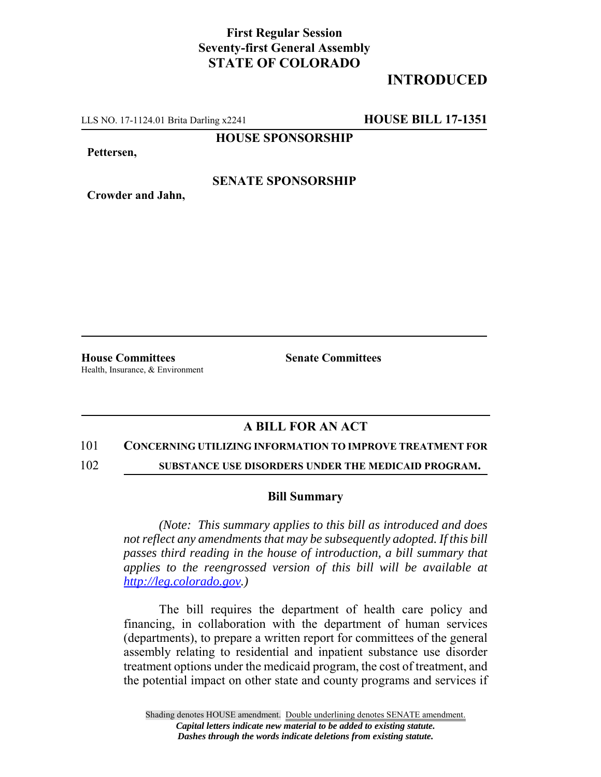## **First Regular Session Seventy-first General Assembly STATE OF COLORADO**

# **INTRODUCED**

LLS NO. 17-1124.01 Brita Darling x2241 **HOUSE BILL 17-1351**

**HOUSE SPONSORSHIP**

**Pettersen,**

### **SENATE SPONSORSHIP**

**Crowder and Jahn,**

**House Committees Senate Committees** Health, Insurance, & Environment

## **A BILL FOR AN ACT**

#### 101 **CONCERNING UTILIZING INFORMATION TO IMPROVE TREATMENT FOR**

102 **SUBSTANCE USE DISORDERS UNDER THE MEDICAID PROGRAM.**

#### **Bill Summary**

*(Note: This summary applies to this bill as introduced and does not reflect any amendments that may be subsequently adopted. If this bill passes third reading in the house of introduction, a bill summary that applies to the reengrossed version of this bill will be available at http://leg.colorado.gov.)*

The bill requires the department of health care policy and financing, in collaboration with the department of human services (departments), to prepare a written report for committees of the general assembly relating to residential and inpatient substance use disorder treatment options under the medicaid program, the cost of treatment, and the potential impact on other state and county programs and services if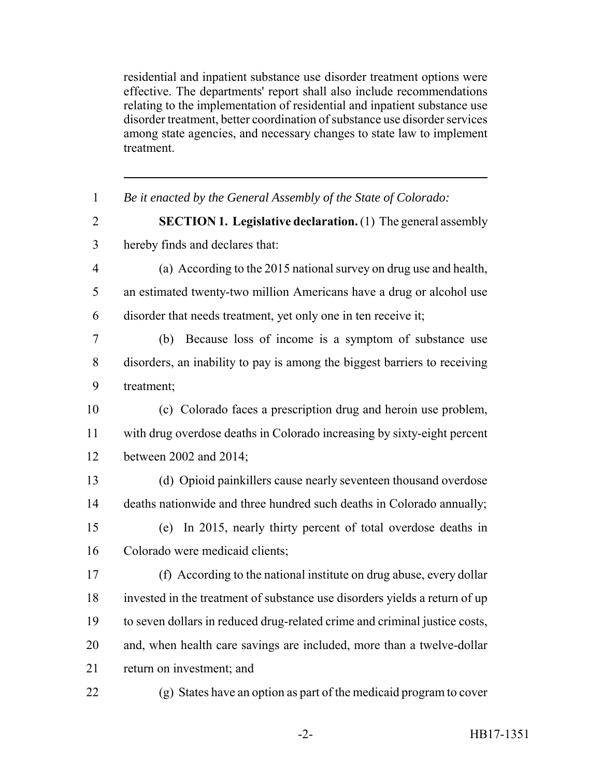residential and inpatient substance use disorder treatment options were effective. The departments' report shall also include recommendations relating to the implementation of residential and inpatient substance use disorder treatment, better coordination of substance use disorder services among state agencies, and necessary changes to state law to implement treatment.

 *Be it enacted by the General Assembly of the State of Colorado:* **SECTION 1. Legislative declaration.** (1) The general assembly hereby finds and declares that: (a) According to the 2015 national survey on drug use and health, an estimated twenty-two million Americans have a drug or alcohol use disorder that needs treatment, yet only one in ten receive it; (b) Because loss of income is a symptom of substance use disorders, an inability to pay is among the biggest barriers to receiving treatment; (c) Colorado faces a prescription drug and heroin use problem, with drug overdose deaths in Colorado increasing by sixty-eight percent between 2002 and 2014; (d) Opioid painkillers cause nearly seventeen thousand overdose deaths nationwide and three hundred such deaths in Colorado annually; (e) In 2015, nearly thirty percent of total overdose deaths in Colorado were medicaid clients; (f) According to the national institute on drug abuse, every dollar invested in the treatment of substance use disorders yields a return of up to seven dollars in reduced drug-related crime and criminal justice costs, and, when health care savings are included, more than a twelve-dollar return on investment; and (g) States have an option as part of the medicaid program to cover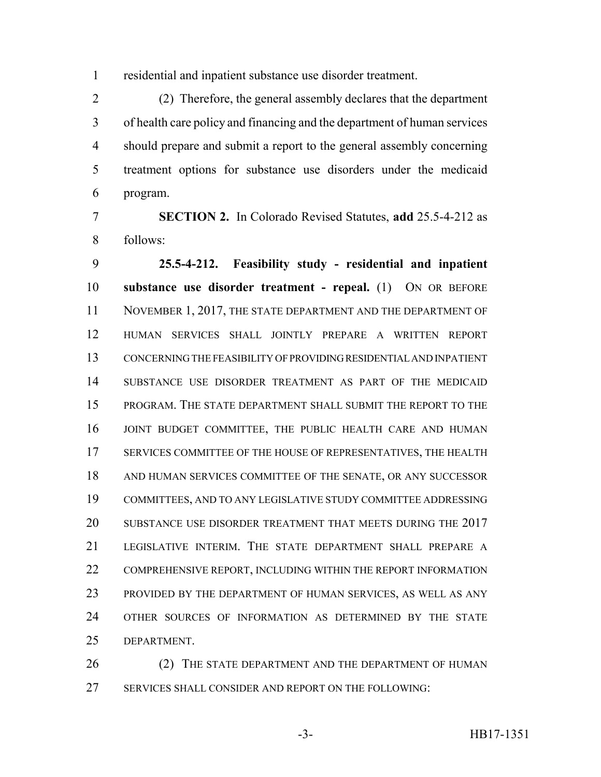residential and inpatient substance use disorder treatment.

 (2) Therefore, the general assembly declares that the department of health care policy and financing and the department of human services should prepare and submit a report to the general assembly concerning treatment options for substance use disorders under the medicaid program.

 **SECTION 2.** In Colorado Revised Statutes, **add** 25.5-4-212 as follows:

 **25.5-4-212. Feasibility study - residential and inpatient substance use disorder treatment - repeal.** (1) ON OR BEFORE 11 NOVEMBER 1, 2017, THE STATE DEPARTMENT AND THE DEPARTMENT OF HUMAN SERVICES SHALL JOINTLY PREPARE A WRITTEN REPORT CONCERNING THE FEASIBILITY OF PROVIDING RESIDENTIAL AND INPATIENT SUBSTANCE USE DISORDER TREATMENT AS PART OF THE MEDICAID PROGRAM. THE STATE DEPARTMENT SHALL SUBMIT THE REPORT TO THE JOINT BUDGET COMMITTEE, THE PUBLIC HEALTH CARE AND HUMAN SERVICES COMMITTEE OF THE HOUSE OF REPRESENTATIVES, THE HEALTH AND HUMAN SERVICES COMMITTEE OF THE SENATE, OR ANY SUCCESSOR COMMITTEES, AND TO ANY LEGISLATIVE STUDY COMMITTEE ADDRESSING SUBSTANCE USE DISORDER TREATMENT THAT MEETS DURING THE 2017 LEGISLATIVE INTERIM. THE STATE DEPARTMENT SHALL PREPARE A 22 COMPREHENSIVE REPORT, INCLUDING WITHIN THE REPORT INFORMATION PROVIDED BY THE DEPARTMENT OF HUMAN SERVICES, AS WELL AS ANY OTHER SOURCES OF INFORMATION AS DETERMINED BY THE STATE DEPARTMENT.

26 (2) THE STATE DEPARTMENT AND THE DEPARTMENT OF HUMAN SERVICES SHALL CONSIDER AND REPORT ON THE FOLLOWING: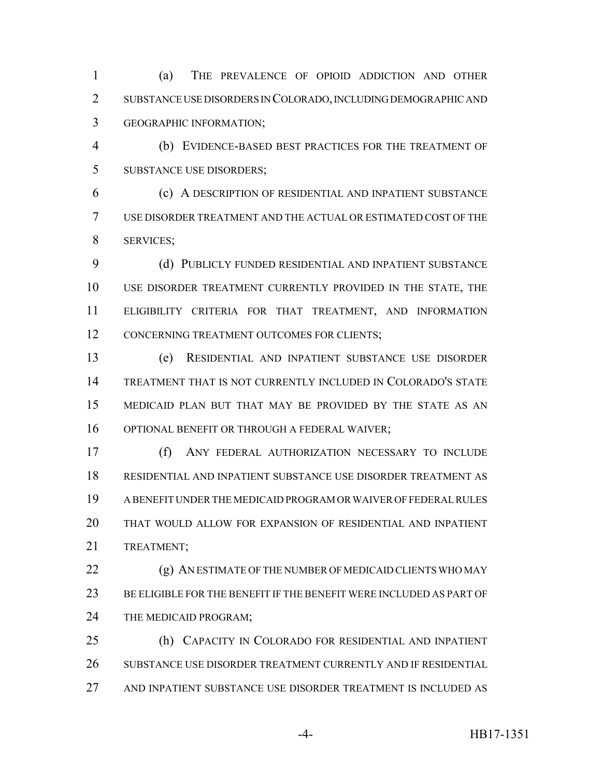(a) THE PREVALENCE OF OPIOID ADDICTION AND OTHER SUBSTANCE USE DISORDERS IN COLORADO, INCLUDING DEMOGRAPHIC AND GEOGRAPHIC INFORMATION;

 (b) EVIDENCE-BASED BEST PRACTICES FOR THE TREATMENT OF SUBSTANCE USE DISORDERS;

 (c) A DESCRIPTION OF RESIDENTIAL AND INPATIENT SUBSTANCE USE DISORDER TREATMENT AND THE ACTUAL OR ESTIMATED COST OF THE SERVICES;

9 (d) PUBLICLY FUNDED RESIDENTIAL AND INPATIENT SUBSTANCE USE DISORDER TREATMENT CURRENTLY PROVIDED IN THE STATE, THE ELIGIBILITY CRITERIA FOR THAT TREATMENT, AND INFORMATION 12 CONCERNING TREATMENT OUTCOMES FOR CLIENTS;

 (e) RESIDENTIAL AND INPATIENT SUBSTANCE USE DISORDER TREATMENT THAT IS NOT CURRENTLY INCLUDED IN COLORADO'S STATE MEDICAID PLAN BUT THAT MAY BE PROVIDED BY THE STATE AS AN OPTIONAL BENEFIT OR THROUGH A FEDERAL WAIVER;

 (f) ANY FEDERAL AUTHORIZATION NECESSARY TO INCLUDE RESIDENTIAL AND INPATIENT SUBSTANCE USE DISORDER TREATMENT AS A BENEFIT UNDER THE MEDICAID PROGRAM OR WAIVER OF FEDERAL RULES THAT WOULD ALLOW FOR EXPANSION OF RESIDENTIAL AND INPATIENT TREATMENT;

 (g) AN ESTIMATE OF THE NUMBER OF MEDICAID CLIENTS WHO MAY BE ELIGIBLE FOR THE BENEFIT IF THE BENEFIT WERE INCLUDED AS PART OF 24 THE MEDICAID PROGRAM;

 (h) CAPACITY IN COLORADO FOR RESIDENTIAL AND INPATIENT SUBSTANCE USE DISORDER TREATMENT CURRENTLY AND IF RESIDENTIAL AND INPATIENT SUBSTANCE USE DISORDER TREATMENT IS INCLUDED AS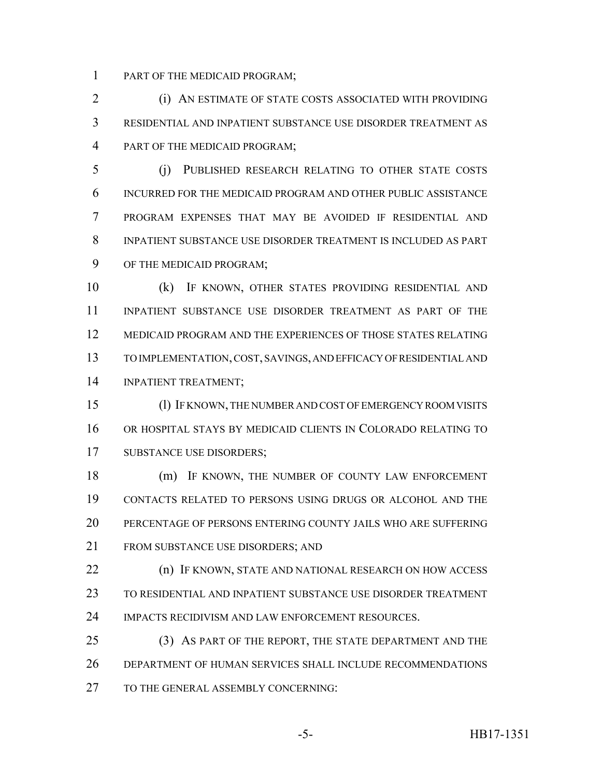PART OF THE MEDICAID PROGRAM;

 (i) AN ESTIMATE OF STATE COSTS ASSOCIATED WITH PROVIDING RESIDENTIAL AND INPATIENT SUBSTANCE USE DISORDER TREATMENT AS PART OF THE MEDICAID PROGRAM;

 (j) PUBLISHED RESEARCH RELATING TO OTHER STATE COSTS INCURRED FOR THE MEDICAID PROGRAM AND OTHER PUBLIC ASSISTANCE PROGRAM EXPENSES THAT MAY BE AVOIDED IF RESIDENTIAL AND INPATIENT SUBSTANCE USE DISORDER TREATMENT IS INCLUDED AS PART OF THE MEDICAID PROGRAM;

 (k) IF KNOWN, OTHER STATES PROVIDING RESIDENTIAL AND INPATIENT SUBSTANCE USE DISORDER TREATMENT AS PART OF THE MEDICAID PROGRAM AND THE EXPERIENCES OF THOSE STATES RELATING TO IMPLEMENTATION, COST, SAVINGS, AND EFFICACY OF RESIDENTIAL AND INPATIENT TREATMENT;

 (l) IF KNOWN, THE NUMBER AND COST OF EMERGENCY ROOM VISITS OR HOSPITAL STAYS BY MEDICAID CLIENTS IN COLORADO RELATING TO SUBSTANCE USE DISORDERS;

 (m) IF KNOWN, THE NUMBER OF COUNTY LAW ENFORCEMENT CONTACTS RELATED TO PERSONS USING DRUGS OR ALCOHOL AND THE PERCENTAGE OF PERSONS ENTERING COUNTY JAILS WHO ARE SUFFERING FROM SUBSTANCE USE DISORDERS; AND

**(n) IF KNOWN, STATE AND NATIONAL RESEARCH ON HOW ACCESS**  TO RESIDENTIAL AND INPATIENT SUBSTANCE USE DISORDER TREATMENT IMPACTS RECIDIVISM AND LAW ENFORCEMENT RESOURCES.

 (3) AS PART OF THE REPORT, THE STATE DEPARTMENT AND THE DEPARTMENT OF HUMAN SERVICES SHALL INCLUDE RECOMMENDATIONS 27 TO THE GENERAL ASSEMBLY CONCERNING: